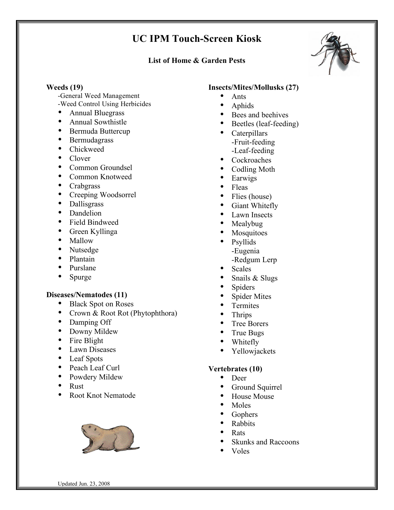# **UC IPM Touch-Screen Kiosk**

### **List of Home & Garden Pests**



### **Weeds (19)**

-General Weed Management

- -Weed Control Using Herbicides
- Annual Bluegrass
- Annual Sowthistle
- Bermuda Buttercup
- Bermudagrass
- Chickweed
- Clover
- Common Groundsel
- Common Knotweed
- Crabgrass
- Creeping Woodsorrel
- Dallisgrass
- Dandelion
- Field Bindweed
- Green Kyllinga
- Mallow
- Nutsedge
- Plantain
- Purslane
- Spurge

# **Diseases/Nematodes (11)**

- Black Spot on Roses
- Crown & Root Rot (Phytophthora)
- Damping Off
- Downy Mildew
- Fire Blight
- Lawn Diseases
- Leaf Spots
- Peach Leaf Curl
- Powdery Mildew
- Rust
- Root Knot Nematode



### **Insects/Mites/Mollusks (27)**

- Ants
- Aphids
- Bees and beehives
- Beetles (leaf-feeding)<br>• Caternillars
- Caterpillars -Fruit-feeding -Leaf-feeding
- Cockroaches
- Codling Moth
- **Earwigs**
- Fleas
- Flies (house)
- Giant Whitefly
- Lawn Insects
- Mealybug
- **Mosquitoes**
- Psyllids -Eugenia -Redgum Lerp
- **Scales**
- Snails & Slugs
- **Spiders**
- Spider Mites
- **Termites**
- Thrips
- Tree Borers
- True Bugs
- Whitefly<br>• Yellowia
- Yellowjackets

# **Vertebrates (10)**

- Deer
- Ground Squirrel
- House Mouse
- Moles
- **Gophers**
- Rabbits
- Rats
- Skunks and Raccoons
- Voles